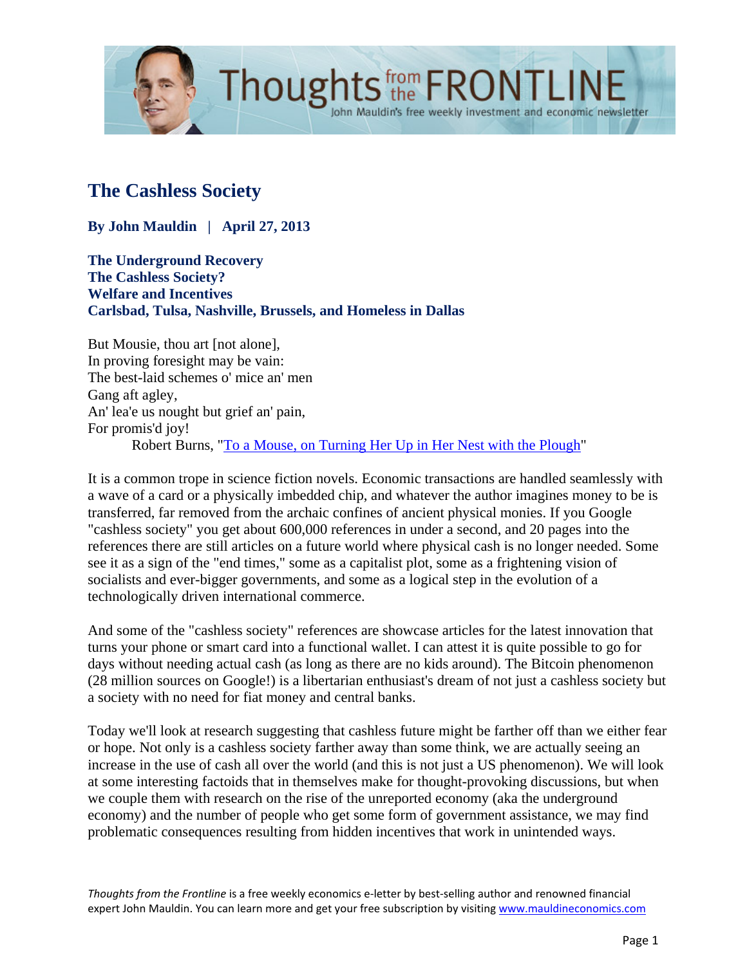

# **The Cashless Society**

**By John Mauldin | April 27, 2013**

**The Underground Recovery The Cashless Society? Welfare and Incentives Carlsbad, Tulsa, Nashville, Brussels, and Homeless in Dallas**

But Mousie, thou art [not alone], In proving foresight may be vain: The best-laid schemes o' mice an' men Gang aft agley, An' lea'e us nought but grief an' pain, For promis'd joy! Robert Burns, ["To a Mouse, on Turning Her Up in Her Nest with the Plough"](http://en.wikipedia.org/wiki/To_a_Mouse)

It is a common trope in science fiction novels. Economic transactions are handled seamlessly with a wave of a card or a physically imbedded chip, and whatever the author imagines money to be is transferred, far removed from the archaic confines of ancient physical monies. If you Google "cashless society" you get about 600,000 references in under a second, and 20 pages into the references there are still articles on a future world where physical cash is no longer needed. Some see it as a sign of the "end times," some as a capitalist plot, some as a frightening vision of socialists and ever-bigger governments, and some as a logical step in the evolution of a technologically driven international commerce.

John Mauldin's free weekly investment and economic newsletter

And some of the "cashless society" references are showcase articles for the latest innovation that turns your phone or smart card into a functional wallet. I can attest it is quite possible to go for days without needing actual cash (as long as there are no kids around). The Bitcoin phenomenon (28 million sources on Google!) is a libertarian enthusiast's dream of not just a cashless society but a society with no need for fiat money and central banks.

Today we'll look at research suggesting that cashless future might be farther off than we either fear or hope. Not only is a cashless society farther away than some think, we are actually seeing an increase in the use of cash all over the world (and this is not just a US phenomenon). We will look at some interesting factoids that in themselves make for thought-provoking discussions, but when we couple them with research on the rise of the unreported economy (aka the underground economy) and the number of people who get some form of government assistance, we may find problematic consequences resulting from hidden incentives that work in unintended ways.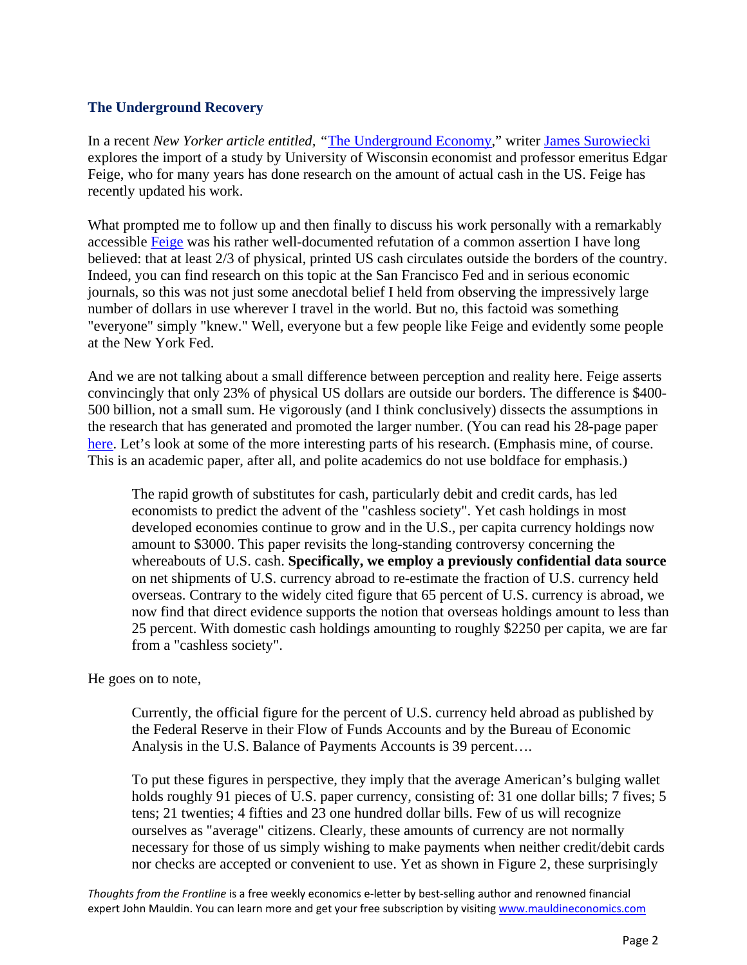#### **The Underground Recovery**

In a recent *New Yorker article entitled, "*[The Underground Economy,](http://www.newyorker.com/talk/financial/2013/04/29/130429ta_talk_surowiecki)" writer [James Surowiecki](http://www.newyorker.com/talk/financial/2013/04/29/130429ta_talk_surowiecki) explores the import of a study by University of Wisconsin economist and professor emeritus Edgar Feige, who for many years has done research on the amount of actual cash in the US. Feige has recently updated his work.

What prompted me to follow up and then finally to discuss his work personally with a remarkably accessible [Feige](http://wisc.academia.edu/EdgarFeige) was his rather well-documented refutation of a common assertion I have long believed: that at least 2/3 of physical, printed US cash circulates outside the borders of the country. Indeed, you can find research on this topic at the San Francisco Fed and in serious economic journals, so this was not just some anecdotal belief I held from observing the impressively large number of dollars in use wherever I travel in the world. But no, this factoid was something "everyone" simply "knew." Well, everyone but a few people like Feige and evidently some people at the New York Fed.

And we are not talking about a small difference between perception and reality here. Feige asserts convincingly that only 23% of physical US dollars are outside our borders. The difference is \$400- 500 billion, not a small sum. He vigorously (and I think conclusively) dissects the assumptions in the research that has generated and promoted the larger number. (You can read his 28-page paper [here.](http://mpra.ub.uni-muenchen.de/42169/1/MPRA_paper_42169.pdf) Let's look at some of the more interesting parts of his research. (Emphasis mine, of course. This is an academic paper, after all, and polite academics do not use boldface for emphasis.)

The rapid growth of substitutes for cash, particularly debit and credit cards, has led economists to predict the advent of the "cashless society". Yet cash holdings in most developed economies continue to grow and in the U.S., per capita currency holdings now amount to \$3000. This paper revisits the long-standing controversy concerning the whereabouts of U.S. cash. **Specifically, we employ a previously confidential data source**  on net shipments of U.S. currency abroad to re-estimate the fraction of U.S. currency held overseas. Contrary to the widely cited figure that 65 percent of U.S. currency is abroad, we now find that direct evidence supports the notion that overseas holdings amount to less than 25 percent. With domestic cash holdings amounting to roughly \$2250 per capita, we are far from a "cashless society".

He goes on to note,

Currently, the official figure for the percent of U.S. currency held abroad as published by the Federal Reserve in their Flow of Funds Accounts and by the Bureau of Economic Analysis in the U.S. Balance of Payments Accounts is 39 percent….

To put these figures in perspective, they imply that the average American's bulging wallet holds roughly 91 pieces of U.S. paper currency, consisting of: 31 one dollar bills; 7 fives; 5 tens; 21 twenties; 4 fifties and 23 one hundred dollar bills. Few of us will recognize ourselves as "average" citizens. Clearly, these amounts of currency are not normally necessary for those of us simply wishing to make payments when neither credit/debit cards nor checks are accepted or convenient to use. Yet as shown in Figure 2, these surprisingly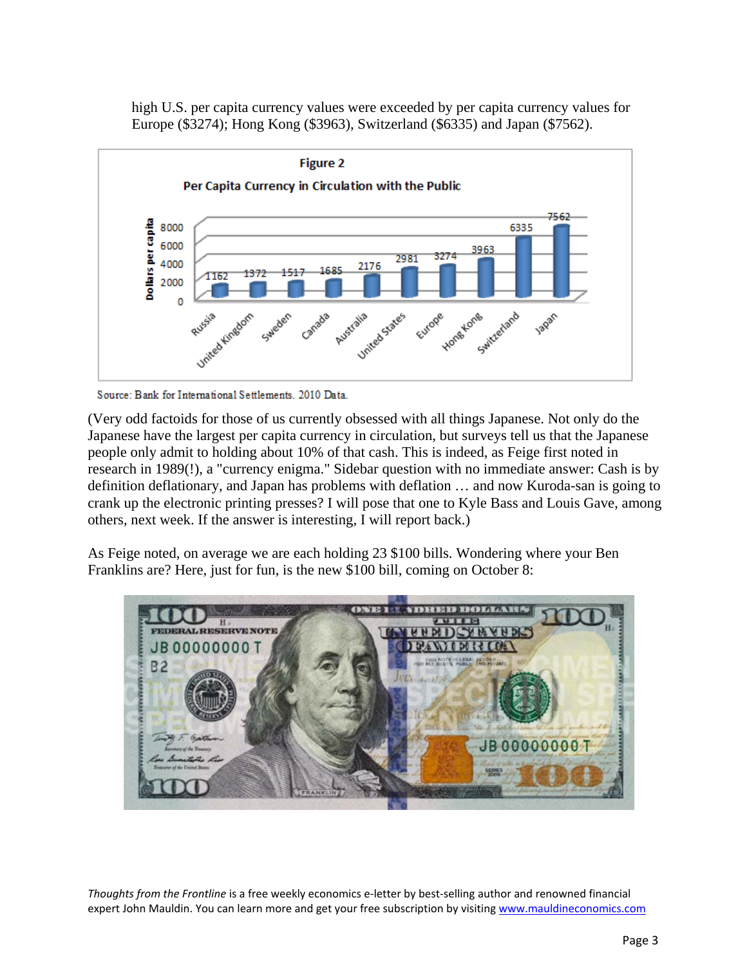high U.S. per capita currency values were exceeded by per capita currency values for Europe (\$3274); Hong Kong (\$3963), Switzerland (\$6335) and Japan (\$7562).



Source: Bank for International Settlements. 2010 Data.

(Very odd factoids for those of us currently obsessed with all things Japanese. Not only do the Japanese have the largest per capita currency in circulation, but surveys tell us that the Japanese people only admit to holding about 10% of that cash. This is indeed, as Feige first noted in research in 1989(!), a "currency enigma." Sidebar question with no immediate answer: Cash is by definition deflationary, and Japan has problems with deflation … and now Kuroda-san is going to crank up the electronic printing presses? I will pose that one to Kyle Bass and Louis Gave, among others, next week. If the answer is interesting, I will report back.)

As Feige noted, on average we are each holding 23 \$100 bills. Wondering where your Ben Franklins are? Here, just for fun, is the new \$100 bill, coming on October 8:

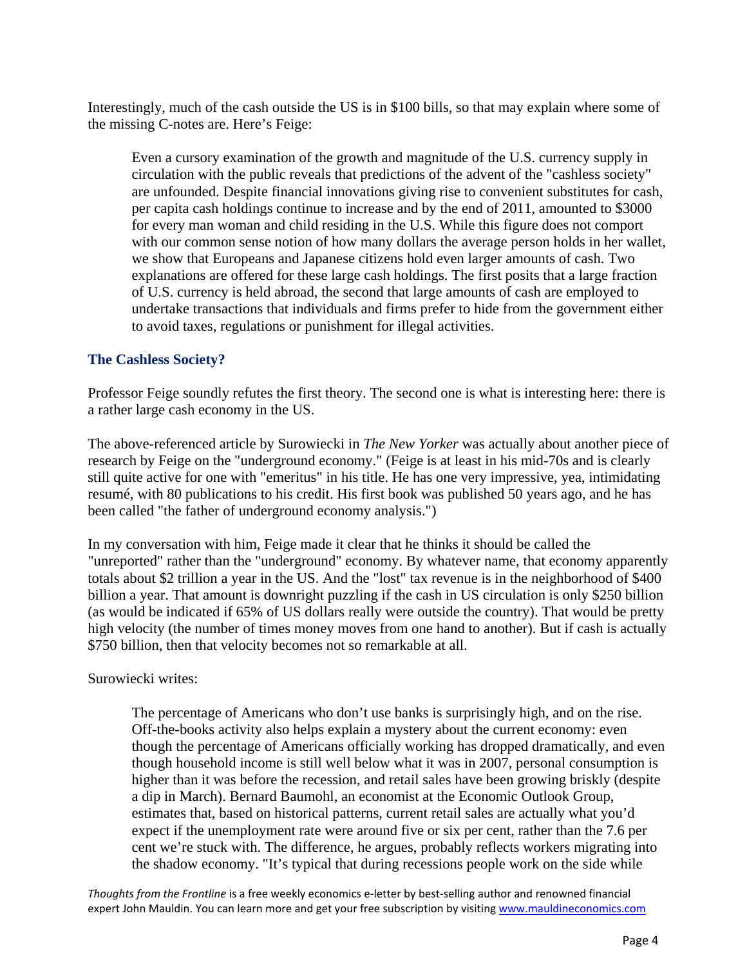Interestingly, much of the cash outside the US is in \$100 bills, so that may explain where some of the missing C-notes are. Here's Feige:

Even a cursory examination of the growth and magnitude of the U.S. currency supply in circulation with the public reveals that predictions of the advent of the "cashless society" are unfounded. Despite financial innovations giving rise to convenient substitutes for cash, per capita cash holdings continue to increase and by the end of 2011, amounted to \$3000 for every man woman and child residing in the U.S. While this figure does not comport with our common sense notion of how many dollars the average person holds in her wallet, we show that Europeans and Japanese citizens hold even larger amounts of cash. Two explanations are offered for these large cash holdings. The first posits that a large fraction of U.S. currency is held abroad, the second that large amounts of cash are employed to undertake transactions that individuals and firms prefer to hide from the government either to avoid taxes, regulations or punishment for illegal activities.

### **The Cashless Society?**

Professor Feige soundly refutes the first theory. The second one is what is interesting here: there is a rather large cash economy in the US.

The above-referenced article by Surowiecki in *The New Yorker* was actually about another piece of research by Feige on the "underground economy." (Feige is at least in his mid-70s and is clearly still quite active for one with "emeritus" in his title. He has one very impressive, yea, intimidating resumé, with 80 publications to his credit. His first book was published 50 years ago, and he has been called "the father of underground economy analysis.")

In my conversation with him, Feige made it clear that he thinks it should be called the "unreported" rather than the "underground" economy. By whatever name, that economy apparently totals about \$2 trillion a year in the US. And the "lost" tax revenue is in the neighborhood of \$400 billion a year. That amount is downright puzzling if the cash in US circulation is only \$250 billion (as would be indicated if 65% of US dollars really were outside the country). That would be pretty high velocity (the number of times money moves from one hand to another). But if cash is actually \$750 billion, then that velocity becomes not so remarkable at all.

Surowiecki writes:

The percentage of Americans who don't use banks is surprisingly high, and on the rise. Off-the-books activity also helps explain a mystery about the current economy: even though the percentage of Americans officially working has dropped dramatically, and even though household income is still well below what it was in 2007, personal consumption is higher than it was before the recession, and retail sales have been growing briskly (despite a dip in March). Bernard Baumohl, an economist at the Economic Outlook Group, estimates that, based on historical patterns, current retail sales are actually what you'd expect if the unemployment rate were around five or six per cent, rather than the 7.6 per cent we're stuck with. The difference, he argues, probably reflects workers migrating into the shadow economy. "It's typical that during recessions people work on the side while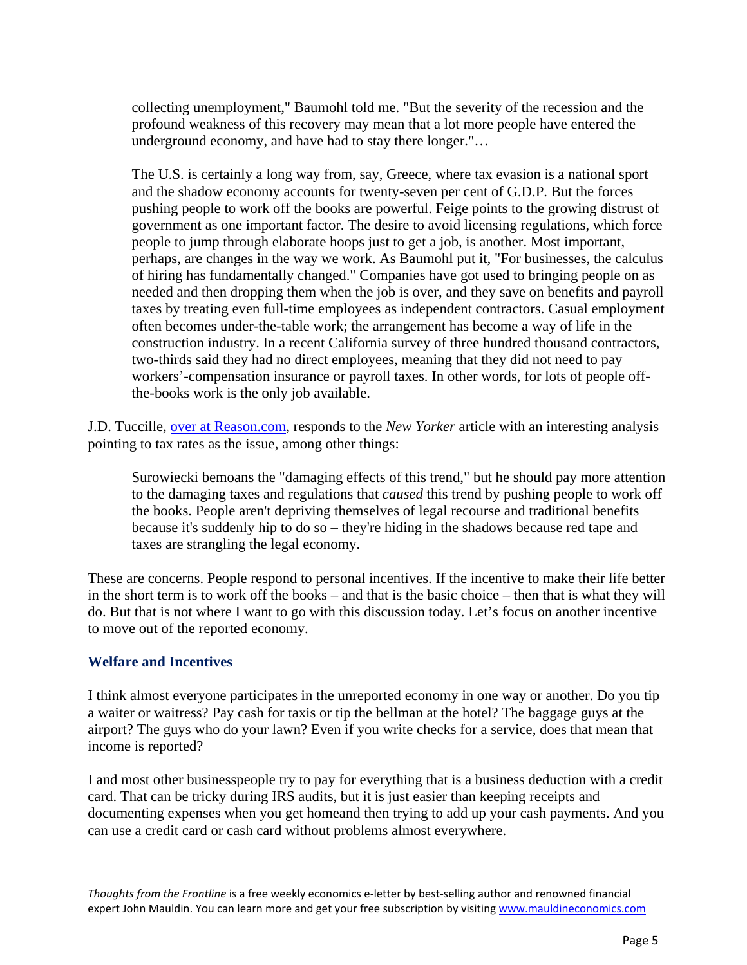collecting unemployment," Baumohl told me. "But the severity of the recession and the profound weakness of this recovery may mean that a lot more people have entered the underground economy, and have had to stay there longer."…

The U.S. is certainly a long way from, say, Greece, where tax evasion is a national sport and the shadow economy accounts for twenty-seven per cent of G.D.P. But the forces pushing people to work off the books are powerful. Feige points to the growing distrust of government as one important factor. The desire to avoid licensing regulations, which force people to jump through elaborate hoops just to get a job, is another. Most important, perhaps, are changes in the way we work. As Baumohl put it, "For businesses, the calculus of hiring has fundamentally changed." Companies have got used to bringing people on as needed and then dropping them when the job is over, and they save on benefits and payroll taxes by treating even full-time employees as independent contractors. Casual employment often becomes under-the-table work; the arrangement has become a way of life in the construction industry. In a recent California survey of three hundred thousand contractors, two-thirds said they had no direct employees, meaning that they did not need to pay workers'-compensation insurance or payroll taxes. In other words, for lots of people offthe-books work is the only job available.

J.D. Tuccille, [over at Reason.com,](http://reason.com/blog/2013/04/22/the-new-yorker-discovers-that-americans) responds to the *New Yorker* article with an interesting analysis pointing to tax rates as the issue, among other things:

Surowiecki bemoans the "damaging effects of this trend," but he should pay more attention to the damaging taxes and regulations that *caused* this trend by pushing people to work off the books. People aren't depriving themselves of legal recourse and traditional benefits because it's suddenly hip to do so – they're hiding in the shadows because red tape and taxes are strangling the legal economy.

These are concerns. People respond to personal incentives. If the incentive to make their life better in the short term is to work off the books – and that is the basic choice – then that is what they will do. But that is not where I want to go with this discussion today. Let's focus on another incentive to move out of the reported economy.

### **Welfare and Incentives**

I think almost everyone participates in the unreported economy in one way or another. Do you tip a waiter or waitress? Pay cash for taxis or tip the bellman at the hotel? The baggage guys at the airport? The guys who do your lawn? Even if you write checks for a service, does that mean that income is reported?

I and most other businesspeople try to pay for everything that is a business deduction with a credit card. That can be tricky during IRS audits, but it is just easier than keeping receipts and documenting expenses when you get homeand then trying to add up your cash payments. And you can use a credit card or cash card without problems almost everywhere.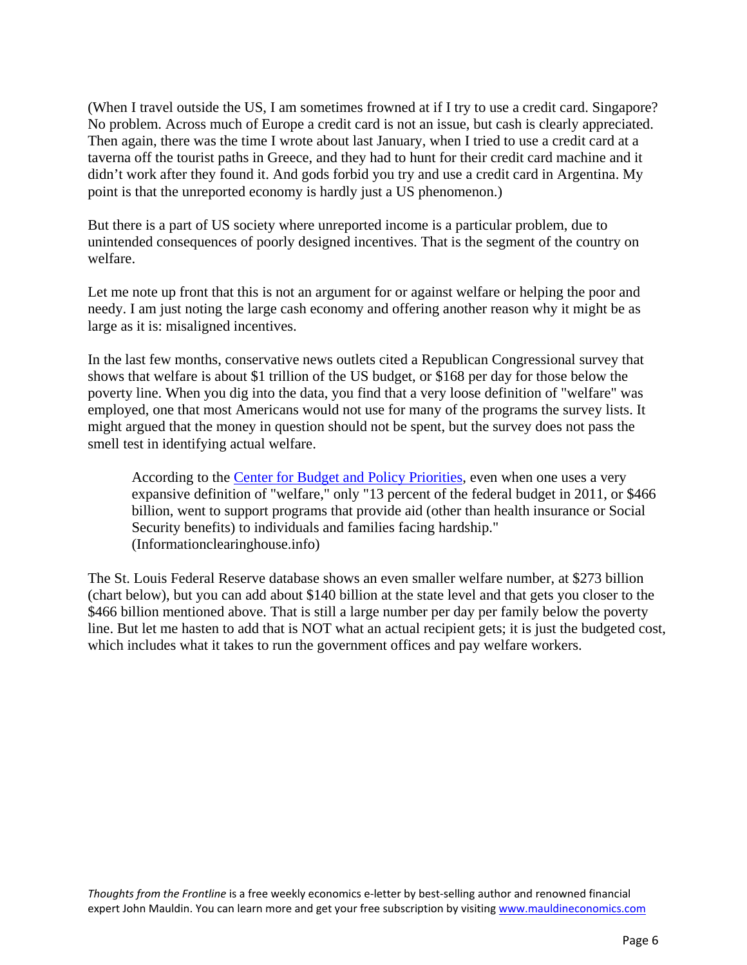(When I travel outside the US, I am sometimes frowned at if I try to use a credit card. Singapore? No problem. Across much of Europe a credit card is not an issue, but cash is clearly appreciated. Then again, there was the time I wrote about last January, when I tried to use a credit card at a taverna off the tourist paths in Greece, and they had to hunt for their credit card machine and it didn't work after they found it. And gods forbid you try and use a credit card in Argentina. My point is that the unreported economy is hardly just a US phenomenon.)

But there is a part of US society where unreported income is a particular problem, due to unintended consequences of poorly designed incentives. That is the segment of the country on welfare.

Let me note up front that this is not an argument for or against welfare or helping the poor and needy. I am just noting the large cash economy and offering another reason why it might be as large as it is: misaligned incentives.

In the last few months, conservative news outlets cited a Republican Congressional survey that shows that welfare is about \$1 trillion of the US budget, or \$168 per day for those below the poverty line. When you dig into the data, you find that a very loose definition of "welfare" was employed, one that most Americans would not use for many of the programs the survey lists. It might argued that the money in question should not be spent, but the survey does not pass the smell test in identifying actual welfare.

According to the [Center for Budget and Policy Priorities,](http://www.cbpp.org/cms/index.cfm?fa=view&id=1258) even when one uses a very expansive definition of "welfare," only "13 percent of the federal budget in 2011, or \$466 billion, went to support programs that provide aid (other than health insurance or Social Security benefits) to individuals and families facing hardship." (Informationclearinghouse.info)

The St. Louis Federal Reserve database shows an even smaller welfare number, at \$273 billion (chart below), but you can add about \$140 billion at the state level and that gets you closer to the \$466 billion mentioned above. That is still a large number per day per family below the poverty line. But let me hasten to add that is NOT what an actual recipient gets; it is just the budgeted cost, which includes what it takes to run the government offices and pay welfare workers.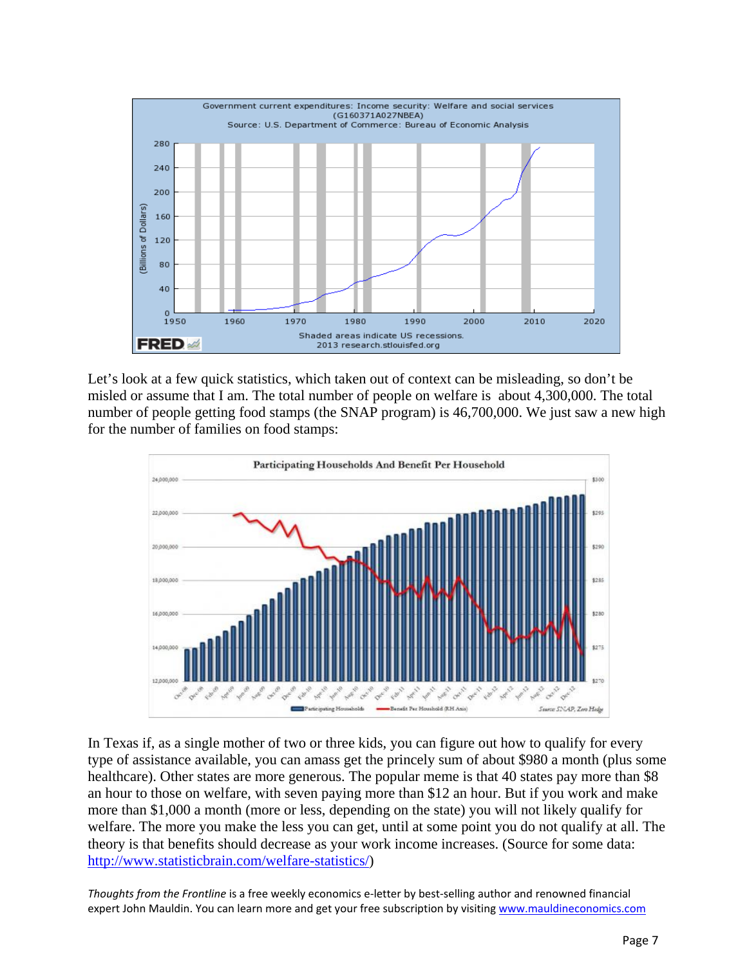

Let's look at a few quick statistics, which taken out of context can be misleading, so don't be misled or assume that I am. The total number of people on welfare is about 4,300,000. The total number of people getting food stamps (the SNAP program) is 46,700,000. We just saw a new high for the number of families on food stamps:



In Texas if, as a single mother of two or three kids, you can figure out how to qualify for every type of assistance available, you can amass get the princely sum of about \$980 a month (plus some healthcare). Other states are more generous. The popular meme is that 40 states pay more than \$8 an hour to those on welfare, with seven paying more than \$12 an hour. But if you work and make more than \$1,000 a month (more or less, depending on the state) you will not likely qualify for welfare. The more you make the less you can get, until at some point you do not qualify at all. The theory is that benefits should decrease as your work income increases. (Source for some data: [http://www.statisticbrain.com/welfare-statistics/\)](http://www.statisticbrain.com/welfare-statistics/)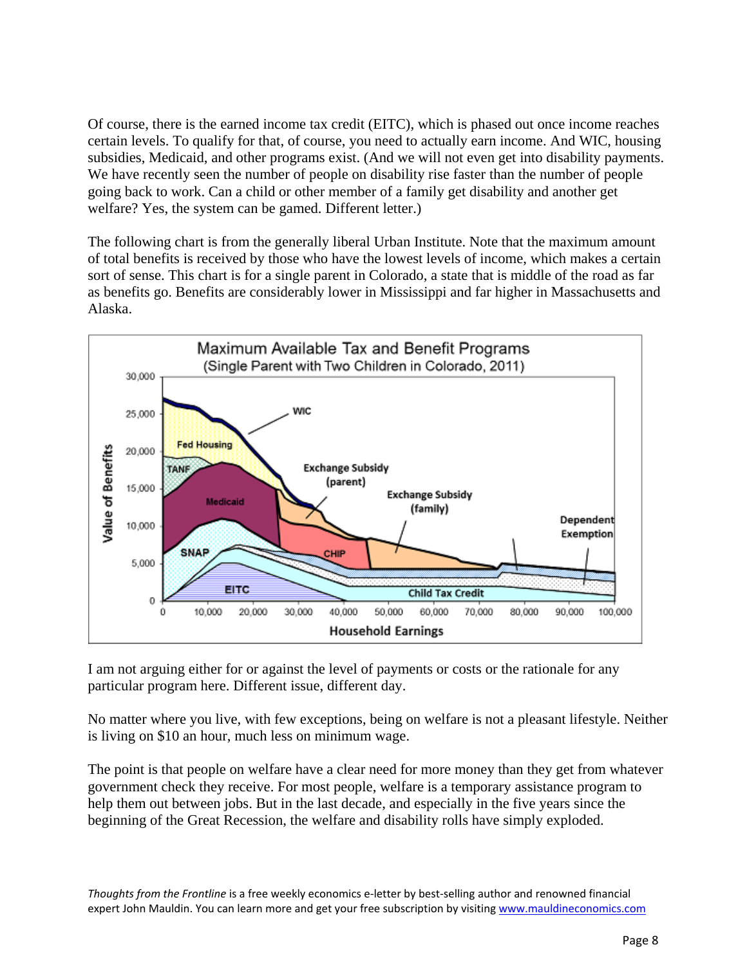Of course, there is the earned income tax credit (EITC), which is phased out once income reaches certain levels. To qualify for that, of course, you need to actually earn income. And WIC, housing subsidies, Medicaid, and other programs exist. (And we will not even get into disability payments. We have recently seen the number of people on disability rise faster than the number of people going back to work. Can a child or other member of a family get disability and another get welfare? Yes, the system can be gamed. Different letter.)

The following chart is from the generally liberal Urban Institute. Note that the maximum amount of total benefits is received by those who have the lowest levels of income, which makes a certain sort of sense. This chart is for a single parent in Colorado, a state that is middle of the road as far as benefits go. Benefits are considerably lower in Mississippi and far higher in Massachusetts and Alaska.



I am not arguing either for or against the level of payments or costs or the rationale for any particular program here. Different issue, different day.

No matter where you live, with few exceptions, being on welfare is not a pleasant lifestyle. Neither is living on \$10 an hour, much less on minimum wage.

The point is that people on welfare have a clear need for more money than they get from whatever government check they receive. For most people, welfare is a temporary assistance program to help them out between jobs. But in the last decade, and especially in the five years since the beginning of the Great Recession, the welfare and disability rolls have simply exploded.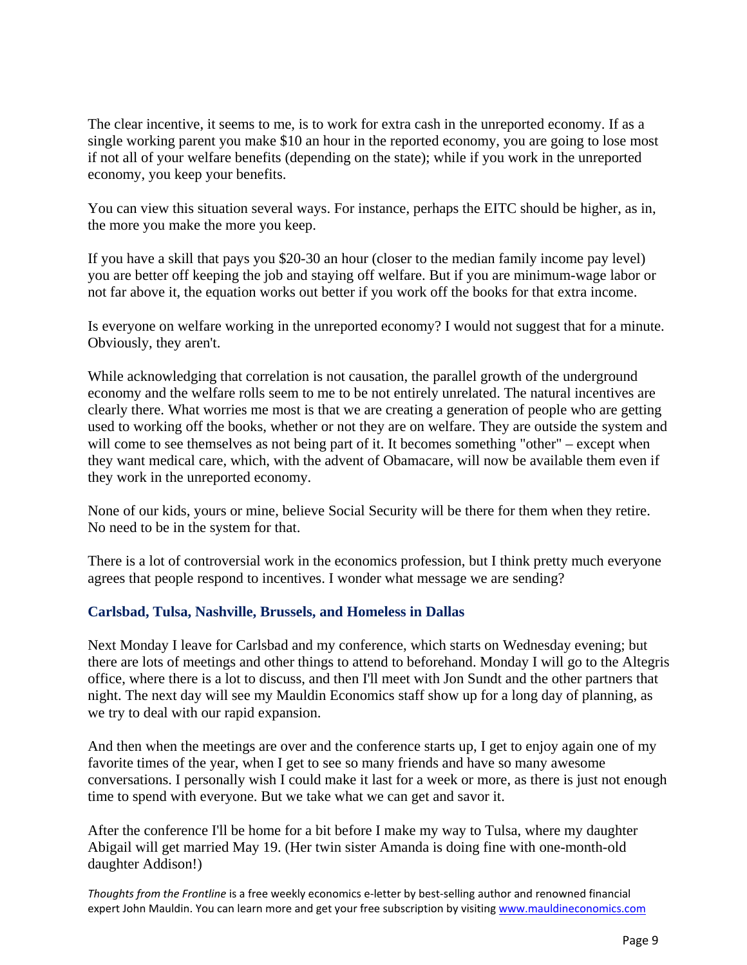The clear incentive, it seems to me, is to work for extra cash in the unreported economy. If as a single working parent you make \$10 an hour in the reported economy, you are going to lose most if not all of your welfare benefits (depending on the state); while if you work in the unreported economy, you keep your benefits.

You can view this situation several ways. For instance, perhaps the EITC should be higher, as in, the more you make the more you keep.

If you have a skill that pays you \$20-30 an hour (closer to the median family income pay level) you are better off keeping the job and staying off welfare. But if you are minimum-wage labor or not far above it, the equation works out better if you work off the books for that extra income.

Is everyone on welfare working in the unreported economy? I would not suggest that for a minute. Obviously, they aren't.

While acknowledging that correlation is not causation, the parallel growth of the underground economy and the welfare rolls seem to me to be not entirely unrelated. The natural incentives are clearly there. What worries me most is that we are creating a generation of people who are getting used to working off the books, whether or not they are on welfare. They are outside the system and will come to see themselves as not being part of it. It becomes something "other" – except when they want medical care, which, with the advent of Obamacare, will now be available them even if they work in the unreported economy.

None of our kids, yours or mine, believe Social Security will be there for them when they retire. No need to be in the system for that.

There is a lot of controversial work in the economics profession, but I think pretty much everyone agrees that people respond to incentives. I wonder what message we are sending?

### **Carlsbad, Tulsa, Nashville, Brussels, and Homeless in Dallas**

Next Monday I leave for Carlsbad and my conference, which starts on Wednesday evening; but there are lots of meetings and other things to attend to beforehand. Monday I will go to the Altegris office, where there is a lot to discuss, and then I'll meet with Jon Sundt and the other partners that night. The next day will see my Mauldin Economics staff show up for a long day of planning, as we try to deal with our rapid expansion.

And then when the meetings are over and the conference starts up, I get to enjoy again one of my favorite times of the year, when I get to see so many friends and have so many awesome conversations. I personally wish I could make it last for a week or more, as there is just not enough time to spend with everyone. But we take what we can get and savor it.

After the conference I'll be home for a bit before I make my way to Tulsa, where my daughter Abigail will get married May 19. (Her twin sister Amanda is doing fine with one-month-old daughter Addison!)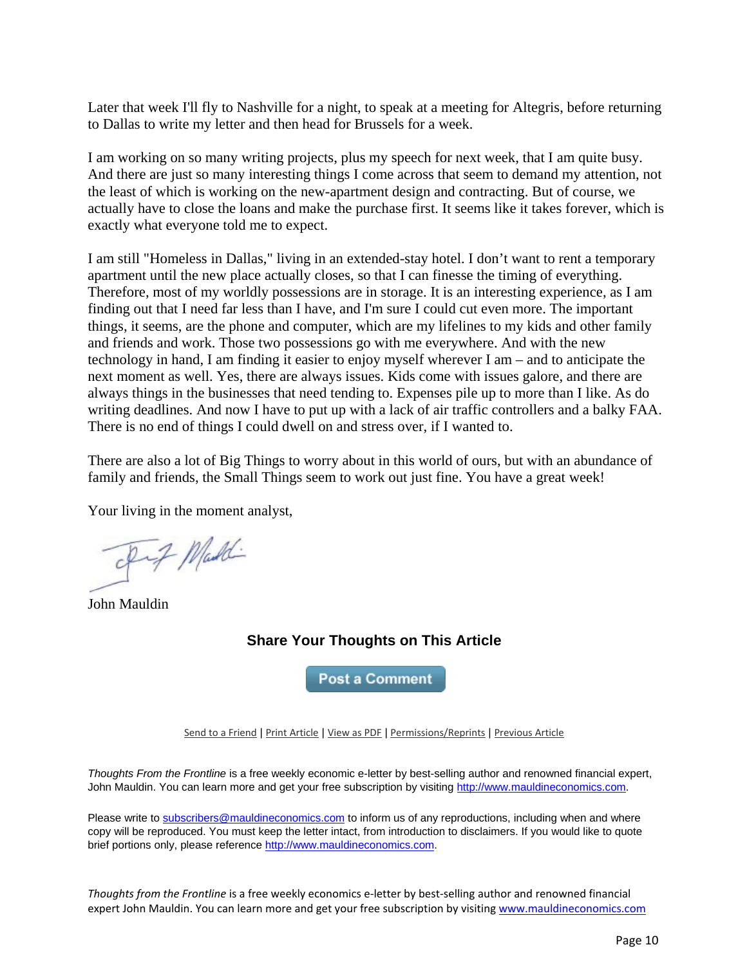Later that week I'll fly to Nashville for a night, to speak at a meeting for Altegris, before returning to Dallas to write my letter and then head for Brussels for a week.

I am working on so many writing projects, plus my speech for next week, that I am quite busy. And there are just so many interesting things I come across that seem to demand my attention, not the least of which is working on the new-apartment design and contracting. But of course, we actually have to close the loans and make the purchase first. It seems like it takes forever, which is exactly what everyone told me to expect.

I am still "Homeless in Dallas," living in an extended-stay hotel. I don't want to rent a temporary apartment until the new place actually closes, so that I can finesse the timing of everything. Therefore, most of my worldly possessions are in storage. It is an interesting experience, as I am finding out that I need far less than I have, and I'm sure I could cut even more. The important things, it seems, are the phone and computer, which are my lifelines to my kids and other family and friends and work. Those two possessions go with me everywhere. And with the new technology in hand, I am finding it easier to enjoy myself wherever I am – and to anticipate the next moment as well. Yes, there are always issues. Kids come with issues galore, and there are always things in the businesses that need tending to. Expenses pile up to more than I like. As do writing deadlines. And now I have to put up with a lack of air traffic controllers and a balky FAA. There is no end of things I could dwell on and stress over, if I wanted to.

There are also a lot of Big Things to worry about in this world of ours, but with an abundance of family and friends, the Small Things seem to work out just fine. You have a great week!

Your living in the moment analyst,

Fif Made

John Mauldin

## **Share Your Thoughts on This Article**

**Post a Comment** 

[Send to a Friend](http://ce.frontlinethoughts.com/CT00017301MTUzNTQ2.html) | [Print Article](http://ce.frontlinethoughts.com/CT00017301MTUzNTQ2.html) | [View as PDF](http://ce.frontlinethoughts.com/CT00017302MTUzNTQ2.html) | [Permissions/Reprints](http://www.frontlinethoughts.com/contact) | [Previous Article](http://ce.frontlinethoughts.com/CT00017305MTUzNTQ2.html)

*Thoughts From the Frontline* is a free weekly economic e-letter by best-selling author and renowned financial expert, John Mauldin. You can learn more and get your free subscription by visitin[g http://www.mauldineconomics.com.](http://www.mauldineconomics.com/)

Please write t[o subscribers@mauldineconomics.com](mailto:subscribers@mauldineconomics.com) to inform us of any reproductions, including when and where copy will be reproduced. You must keep the letter intact, from introduction to disclaimers. If you would like to quote brief portions only, please reference [http://www.mauldineconomics.com.](http://www.mauldineconomics.com/)

*Thoughts from the Frontline* is a free weekly economics e-letter by best-selling author and renowned financial expert John Mauldin. You can learn more and get your free subscription by visiting [www.mauldineconomics.com](http://www.mauldineconomics.com/subscribe/)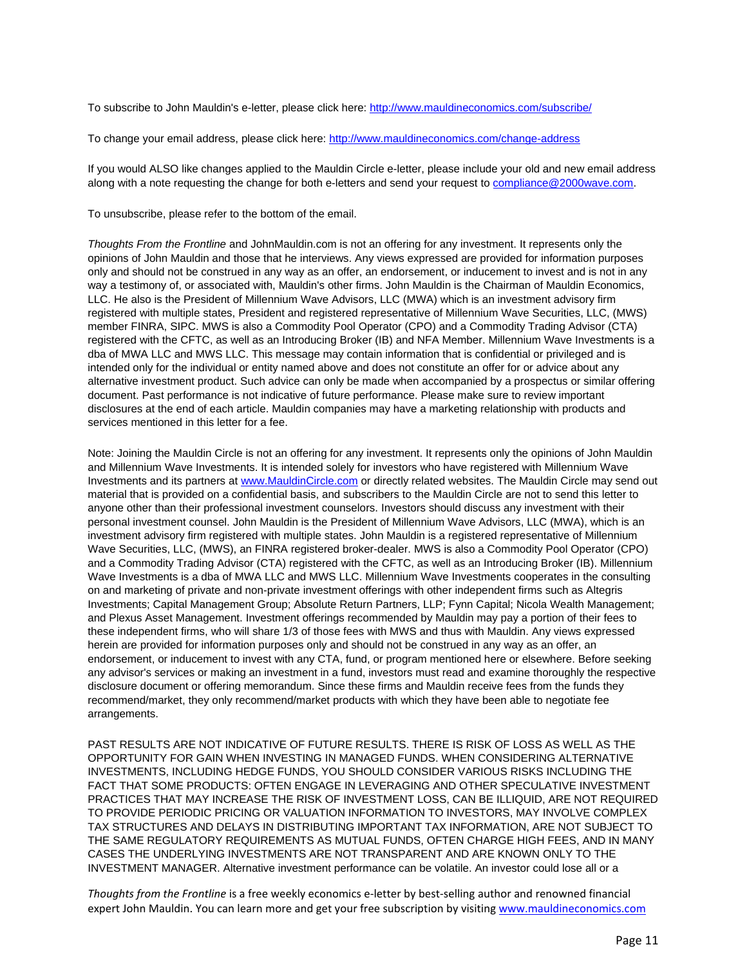To subscribe to John Mauldin's e-letter, please click here:<http://www.mauldineconomics.com/subscribe/>

To change your email address, please click here: <http://www.mauldineconomics.com/change-address>

If you would ALSO like changes applied to the Mauldin Circle e-letter, please include your old and new email address along with a note requesting the change for both e-letters and send your request to [compliance@2000wave.com.](mailto:compliance@2000wave.com)

To unsubscribe, please refer to the bottom of the email.

*Thoughts From the Frontline* and JohnMauldin.com is not an offering for any investment. It represents only the opinions of John Mauldin and those that he interviews. Any views expressed are provided for information purposes only and should not be construed in any way as an offer, an endorsement, or inducement to invest and is not in any way a testimony of, or associated with, Mauldin's other firms. John Mauldin is the Chairman of Mauldin Economics, LLC. He also is the President of Millennium Wave Advisors, LLC (MWA) which is an investment advisory firm registered with multiple states, President and registered representative of Millennium Wave Securities, LLC, (MWS) member FINRA, SIPC. MWS is also a Commodity Pool Operator (CPO) and a Commodity Trading Advisor (CTA) registered with the CFTC, as well as an Introducing Broker (IB) and NFA Member. Millennium Wave Investments is a dba of MWA LLC and MWS LLC. This message may contain information that is confidential or privileged and is intended only for the individual or entity named above and does not constitute an offer for or advice about any alternative investment product. Such advice can only be made when accompanied by a prospectus or similar offering document. Past performance is not indicative of future performance. Please make sure to review important disclosures at the end of each article. Mauldin companies may have a marketing relationship with products and services mentioned in this letter for a fee.

Note: Joining the Mauldin Circle is not an offering for any investment. It represents only the opinions of John Mauldin and Millennium Wave Investments. It is intended solely for investors who have registered with Millennium Wave Investments and its partners a[t www.MauldinCircle.com](http://www.mauldincircle.com/) or directly related websites. The Mauldin Circle may send out material that is provided on a confidential basis, and subscribers to the Mauldin Circle are not to send this letter to anyone other than their professional investment counselors. Investors should discuss any investment with their personal investment counsel. John Mauldin is the President of Millennium Wave Advisors, LLC (MWA), which is an investment advisory firm registered with multiple states. John Mauldin is a registered representative of Millennium Wave Securities, LLC, (MWS), an FINRA registered broker-dealer. MWS is also a Commodity Pool Operator (CPO) and a Commodity Trading Advisor (CTA) registered with the CFTC, as well as an Introducing Broker (IB). Millennium Wave Investments is a dba of MWA LLC and MWS LLC. Millennium Wave Investments cooperates in the consulting on and marketing of private and non-private investment offerings with other independent firms such as Altegris Investments; Capital Management Group; Absolute Return Partners, LLP; Fynn Capital; Nicola Wealth Management; and Plexus Asset Management. Investment offerings recommended by Mauldin may pay a portion of their fees to these independent firms, who will share 1/3 of those fees with MWS and thus with Mauldin. Any views expressed herein are provided for information purposes only and should not be construed in any way as an offer, an endorsement, or inducement to invest with any CTA, fund, or program mentioned here or elsewhere. Before seeking any advisor's services or making an investment in a fund, investors must read and examine thoroughly the respective disclosure document or offering memorandum. Since these firms and Mauldin receive fees from the funds they recommend/market, they only recommend/market products with which they have been able to negotiate fee arrangements.

PAST RESULTS ARE NOT INDICATIVE OF FUTURE RESULTS. THERE IS RISK OF LOSS AS WELL AS THE OPPORTUNITY FOR GAIN WHEN INVESTING IN MANAGED FUNDS. WHEN CONSIDERING ALTERNATIVE INVESTMENTS, INCLUDING HEDGE FUNDS, YOU SHOULD CONSIDER VARIOUS RISKS INCLUDING THE FACT THAT SOME PRODUCTS: OFTEN ENGAGE IN LEVERAGING AND OTHER SPECULATIVE INVESTMENT PRACTICES THAT MAY INCREASE THE RISK OF INVESTMENT LOSS, CAN BE ILLIQUID, ARE NOT REQUIRED TO PROVIDE PERIODIC PRICING OR VALUATION INFORMATION TO INVESTORS, MAY INVOLVE COMPLEX TAX STRUCTURES AND DELAYS IN DISTRIBUTING IMPORTANT TAX INFORMATION, ARE NOT SUBJECT TO THE SAME REGULATORY REQUIREMENTS AS MUTUAL FUNDS, OFTEN CHARGE HIGH FEES, AND IN MANY CASES THE UNDERLYING INVESTMENTS ARE NOT TRANSPARENT AND ARE KNOWN ONLY TO THE INVESTMENT MANAGER. Alternative investment performance can be volatile. An investor could lose all or a

*Thoughts from the Frontline* is a free weekly economics e-letter by best-selling author and renowned financial expert John Mauldin. You can learn more and get your free subscription by visiting [www.mauldineconomics.com](http://www.mauldineconomics.com/subscribe/)